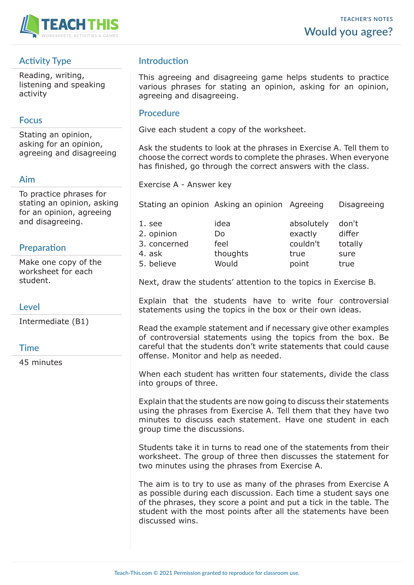

# **Activity Type**

Reading, writing, listening and speaking activity

## **Focus**

Stating an opinion, asking for an opinion, agreeing and disagreeing

## **Aim**

To practice phrases for stating an opinion, asking for an opinion, agreeing and disagreeing.

## **Preparation**

Make one copy of the worksheet for each student.

## **Level**

Intermediate (B1)

## **Time**

45 minutes

# **Introduction**

This agreeing and disagreeing game helps students to practice various phrases for stating an opinion, asking for an opinion, agreeing and disagreeing.

### **Procedure**

Give each student a copy of the worksheet.

Ask the students to look at the phrases in Exercise A. Tell them to choose the correct words to complete the phrases. When everyone has finished, go through the correct answers with the class.

Exercise A - Answer key

Stating an opinion Asking an opinion Agreeing Disagreeing

| 1. see       | idea     | absolutely don't |         |
|--------------|----------|------------------|---------|
| 2. opinion   | Do       | exactly          | differ  |
| 3. concerned | feel     | couldn't         | totally |
| 4. ask       | thoughts | true             | sure    |
| 5. believe   | Would    | point            | true    |

Next, draw the students' attention to the topics in Exercise B.

Explain that the students have to write four controversial statements using the topics in the box or their own ideas.

Read the example statement and if necessary give other examples of controversial statements using the topics from the box. Be careful that the students don't write statements that could cause offense. Monitor and help as needed.

When each student has written four statements, divide the class into groups of three.

Explain that the students are now going to discuss their statements using the phrases from Exercise A. Tell them that they have two minutes to discuss each statement. Have one student in each group time the discussions.

Students take it in turns to read one of the statements from their worksheet. The group of three then discusses the statement for two minutes using the phrases from Exercise A.

The aim is to try to use as many of the phrases from Exercise A as possible during each discussion. Each time a student says one of the phrases, they score a point and put a tick in the table. The student with the most points after all the statements have been discussed wins.